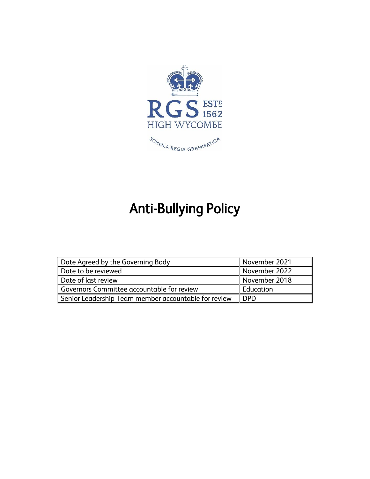

# Anti-Bullying Policy

| Date Agreed by the Governing Body                    | November 2021 |
|------------------------------------------------------|---------------|
| Date to be reviewed                                  | November 2022 |
| Date of last review                                  | November 2018 |
| Governors Committee accountable for review           | Education     |
| Senior Leadership Team member accountable for review | <b>DPD</b>    |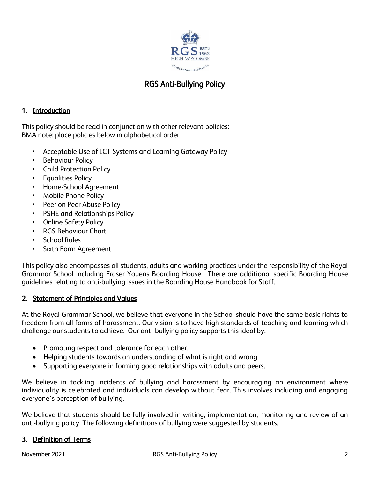

# RGS Anti-Bullying Policy

# 1. Introduction

This policy should be read in conjunction with other relevant policies: BMA note: place policies below in alphabetical order

- Acceptable Use of ICT Systems and Learning Gateway Policy
- **Behaviour Policy**
- Child Protection Policy
- Equalities Policy
- Home-School Agreement
- Mobile Phone Policy
- Peer on Peer Abuse Policy
- PSHE and Relationships Policy
- Online Safety Policy
- RGS Behaviour Chart
- School Rules
- Sixth Form Agreement

This policy also encompasses all students, adults and working practices under the responsibility of the Royal Grammar School including Fraser Youens Boarding House. There are additional specific Boarding House guidelines relating to anti-bullying issues in the Boarding House Handbook for Staff.

# 2. Statement of Principles and Values

At the Royal Grammar School, we believe that everyone in the School should have the same basic rights to freedom from all forms of harassment. Our vision is to have high standards of teaching and learning which challenge our students to achieve. Our anti-bullying policy supports this ideal by:

- Promoting respect and tolerance for each other.
- Helping students towards an understanding of what is right and wrong.
- Supporting everyone in forming good relationships with adults and peers.

We believe in tackling incidents of bullying and harassment by encouraging an environment where individuality is celebrated and individuals can develop without fear. This involves including and engaging everyone's perception of bullying.

We believe that students should be fully involved in writing, implementation, monitoring and review of an anti-bullying policy. The following definitions of bullying were suggested by students.

#### 3. Definition of Terms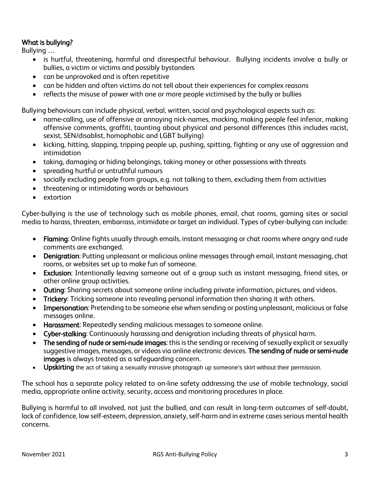# What is bullying?

Bullying …

- is hurtful, threatening, harmful and disrespectful behaviour. Bullying incidents involve a bully or bullies, a victim or victims and possibly bystanders
- can be unprovoked and is often repetitive
- can be hidden and often victims do not tell about their experiences for complex reasons
- reflects the misuse of power with one or more people victimised by the bully or bullies

Bullying behaviours can include physical, verbal, written, social and psychological aspects such as:

- name-calling, use of offensive or annoying nick-names, mocking, making people feel inferior, making offensive comments, graffiti, taunting about physical and personal differences (this includes racist, sexist, SEN/disablist, homophobic and LGBT bullying)
- kicking, hitting, slapping, tripping people up, pushing, spitting, fighting or any use of aggression and intimidation
- taking, damaging or hiding belongings, taking money or other possessions with threats
- spreading hurtful or untruthful rumours
- socially excluding people from groups, e.g. not talking to them, excluding them from activities
- threatening or intimidating words or behaviours
- extortion

Cyber-bullying is the use of technology such as mobile phones, email, chat rooms, gaming sites or social media to harass, threaten, embarrass, intimidate or target an individual. Types of cyber-bullying can include:

- Flaming: Online fights usually through emails, instant messaging or chat rooms where angry and rude comments are exchanged.
- Denigration: Putting unpleasant or malicious online messages through email, instant messaging, chat rooms, or websites set up to make fun of someone.
- Exclusion: Intentionally leaving someone out of a group such as instant messaging, friend sites, or other online group activities.
- Outing: Sharing secrets about someone online including private information, pictures, and videos.
- **Trickery:** Tricking someone into revealing personal information then sharing it with others.
- Impersonation: Pretending to be someone else when sending or posting unpleasant, malicious or false messages online.
- Harassment: Repeatedly sending malicious messages to someone online.
- Cyber-stalking: Continuously harassing and denigration including threats of physical harm.
- The sending of nude or semi-nude images: this is the sending or receiving of sexually explicit or sexually suggestive images, messages, or videos via online electronic devices. The sending of nude or semi-nude images is always treated as a safeguarding concern.
- Upskirting the act of taking a sexually intrusive photograph up someone's skirt without their permission.

The school has a separate policy related to on-line safety addressing the use of mobile technology, social media, appropriate online activity, security, access and monitoring procedures in place.

Bullying is harmful to all involved, not just the bullied, and can result in long-term outcomes of self-doubt, lack of confidence, low self-esteem, depression, anxiety, self-harm and in extreme cases serious mental health concerns.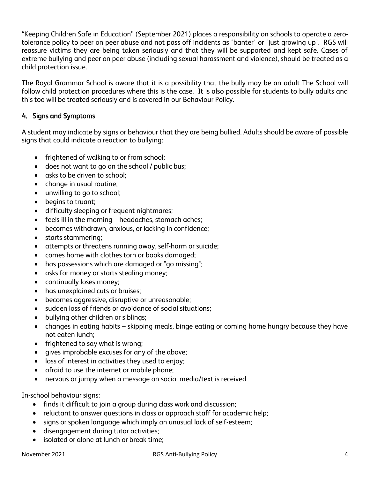"Keeping Children Safe in Education" (September 2021) places a responsibility on schools to operate a zerotolerance policy to peer on peer abuse and not pass off incidents as 'banter' or 'just growing up'. RGS will reassure victims they are being taken seriously and that they will be supported and kept safe. Cases of extreme bullying and peer on peer abuse (including sexual harassment and violence), should be treated as a child protection issue.

The Royal Grammar School is aware that it is a possibility that the bully may be an adult The School will follow child protection procedures where this is the case. It is also possible for students to bully adults and this too will be treated seriously and is covered in our Behaviour Policy.

# 4. Signs and Symptoms

A student may indicate by signs or behaviour that they are being bullied. Adults should be aware of possible signs that could indicate a reaction to bullying:

- frightened of walking to or from school;
- does not want to go on the school / public bus;
- asks to be driven to school;
- change in usual routine;
- unwilling to go to school;
- begins to truant;
- difficulty sleeping or frequent nightmares;
- feels ill in the morning headaches, stomach aches;
- becomes withdrawn, anxious, or lacking in confidence;
- starts stammering;
- attempts or threatens running away, self-harm or suicide;
- comes home with clothes torn or books damaged;
- has possessions which are damaged or "go missing";
- asks for money or starts stealing money;
- continually loses money;
- has unexplained cuts or bruises;
- becomes aggressive, disruptive or unreasonable;
- sudden loss of friends or avoidance of social situations;
- bullying other children or siblings;
- changes in eating habits skipping meals, binge eating or coming home hungry because they have not eaten lunch;
- frightened to say what is wrong;
- gives improbable excuses for any of the above;
- loss of interest in activities they used to enjoy;
- afraid to use the internet or mobile phone;
- nervous or jumpy when a message on social media/text is received.

In-school behaviour signs:

- finds it difficult to join a group during class work and discussion;
- reluctant to answer questions in class or approach staff for academic help;
- signs or spoken language which imply an unusual lack of self-esteem;
- disengagement during tutor activities;
- isolated or alone at lunch or break time;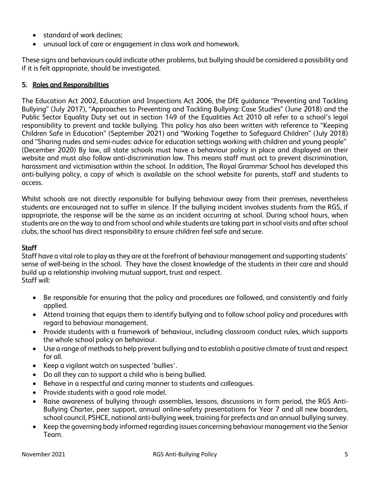- standard of work declines;
- unusual lack of care or engagement in class work and homework.

These signs and behaviours could indicate other problems, but bullying should be considered a possibility and if it is felt appropriate, should be investigated.

#### 5. Roles and Responsibilities

The Education Act 2002, Education and Inspections Act 2006, the DfE guidance "Preventing and Tackling Bullying" (July 2017), "Approaches to Preventing and Tackling Bullying: Case Studies" (June 2018) and the Public Sector Equality Duty set out in section 149 of the Equalities Act 2010 all refer to a school's legal responsibility to prevent and tackle bullying. This policy has also been written with reference to "Keeping Children Safe in Education" (September 2021) and "Working Together to Safeguard Children" (July 2018) and "Sharing nudes and semi-nudes: advice for education settings working with children and young people" (December 2020) By law, all state schools must have a behaviour policy in place and displayed on their website and must also follow anti-discrimination law. This means staff must act to prevent discrimination, harassment and victimisation within the school. In addition, The Royal Grammar School has developed this anti-bullying policy, a copy of which is available on the school website for parents, staff and students to access.

Whilst schools are not directly responsible for bullying behaviour away from their premises, nevertheless students are encouraged not to suffer in silence. If the bullying incident involves students from the RGS, if appropriate, the response will be the same as an incident occurring at school. During school hours, when students are on the way to and from school and while students are taking part in school visits and after school clubs, the school has direct responsibility to ensure children feel safe and secure.

#### **Staff**

Staff have a vital role to play as they are at the forefront of behaviour management and supporting students' sense of well-being in the school. They have the closest knowledge of the students in their care and should build up a relationship involving mutual support, trust and respect. Staff will:

- Be responsible for ensuring that the policy and procedures are followed, and consistently and fairly applied.
- Attend training that equips them to identify bullying and to follow school policy and procedures with regard to behaviour management.
- Provide students with a framework of behaviour, including classroom conduct rules, which supports the whole school policy on behaviour.
- Use a range of methods to help prevent bullying and to establish a positive climate of trust and respect for all.
- Keep a vigilant watch on suspected 'bullies'.
- Do all they can to support a child who is being bullied.
- Behave in a respectful and caring manner to students and colleagues.
- Provide students with a good role model.
- Raise awareness of bullying through assemblies, lessons, discussions in form period, the RGS Anti-Bullying Charter, peer support, annual online-safety presentations for Year 7 and all new boarders, school council, PSHCE, national anti-bullying week, training for prefects and an annual bullying survey.
- Keep the governing body informed regarding issues concerning behaviour management via the Senior Team.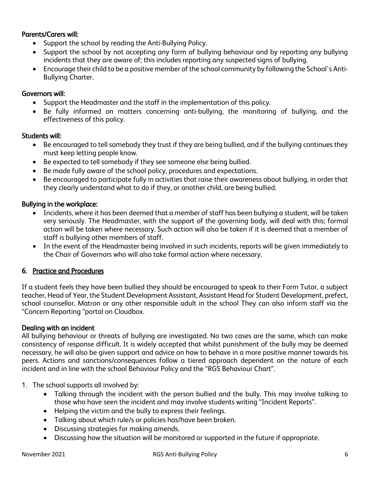#### Parents/Carers will:

- Support the school by reading the Anti-Bullying Policy.
- Support the school by not accepting any form of bullying behaviour and by reporting any bullying incidents that they are aware of; this includes reporting any suspected signs of bullying.
- Encourage their child to be a positive member of the school community by following the School's Anti-Bullying Charter.

#### Governors will:

- Support the Headmaster and the staff in the implementation of this policy.
- Be fully informed on matters concerning anti-bullying, the monitoring of bullying, and the effectiveness of this policy.

#### Students will:

- Be encouraged to tell somebody they trust if they are being bullied, and if the bullying continues they must keep letting people know.
- Be expected to tell somebody if they see someone else being bullied.
- Be made fully aware of the school policy, procedures and expectations.
- Be encouraged to participate fully in activities that raise their awareness about bullying, in order that they clearly understand what to do if they, or another child, are being bullied.

### Bullying in the workplace:

- Incidents, where it has been deemed that a member of staff has been bullying a student, will be taken very seriously. The Headmaster, with the support of the governing body, will deal with this; formal action will be taken where necessary. Such action will also be taken if it is deemed that a member of staff is bullying other members of staff.
- In the event of the Headmaster being involved in such incidents, reports will be given immediately to the Chair of Governors who will also take formal action where necessary.

# 6. Practice and Procedures

If a student feels they have been bullied they should be encouraged to speak to their Form Tutor, a subject teacher, Head of Year, the Student Development Assistant, Assistant Head for Student Development, prefect, school counsellor, Matron or any other responsible adult in the school They can also inform staff via the "Concern Reporting "portal on Cloudbox.

#### Dealing with an incident

All bullying behaviour or threats of bullying are investigated. No two cases are the same, which can make consistency of response difficult. It is widely accepted that whilst punishment of the bully may be deemed necessary, he will also be given support and advice on how to behave in a more positive manner towards his peers. Actions and sanctions/consequences follow a tiered approach dependent on the nature of each incident and in line with the school Behaviour Policy and the "RGS Behaviour Chart".

#### 1. The school supports all involved by:

- Talking through the incident with the person bullied and the bully. This may involve talking to those who have seen the incident and may involve students writing "Incident Reports".
- Helping the victim and the bully to express their feelings.
- Talking about which rule/s or policies has/have been broken.
- Discussing strategies for making amends.
- Discussing how the situation will be monitored or supported in the future if appropriate.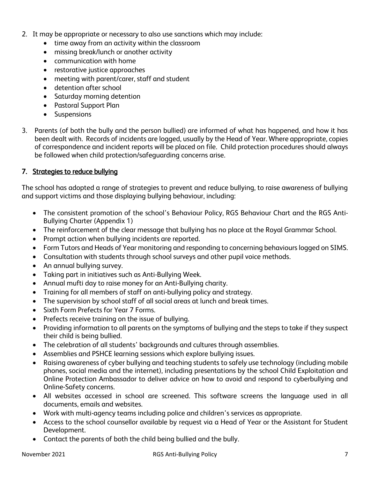- 2. It may be appropriate or necessary to also use sanctions which may include:
	- time away from an activity within the classroom
	- missing break/lunch or another activity
	- communication with home
	- restorative justice approaches
	- meeting with parent/carer, staff and student
	- detention after school
	- Saturday morning detention
	- Pastoral Support Plan
	- Suspensions
- 3. Parents (of both the bully and the person bullied) are informed of what has happened, and how it has been dealt with. Records of incidents are logged, usually by the Head of Year. Where appropriate, copies of correspondence and incident reports will be placed on file. Child protection procedures should always be followed when child protection/safeguarding concerns arise.

#### 7. Strategies to reduce bullying

The school has adopted a range of strategies to prevent and reduce bullying, to raise awareness of bullying and support victims and those displaying bullying behaviour, including:

- The consistent promotion of the school's Behaviour Policy, RGS Behaviour Chart and the RGS Anti-Bullying Charter (Appendix 1)
- The reinforcement of the clear message that bullying has no place at the Royal Grammar School.
- Prompt action when bullying incidents are reported.
- Form Tutors and Heads of Year monitoring and responding to concerning behaviours logged on SIMS.
- Consultation with students through school surveys and other pupil voice methods.
- An annual bullying survey.
- Taking part in initiatives such as Anti-Bullying Week.
- Annual mufti day to raise money for an Anti-Bullying charity.
- Training for all members of staff on anti-bullying policy and strategy.
- The supervision by school staff of all social areas at lunch and break times.
- Sixth Form Prefects for Year 7 Forms.
- Prefects receive training on the issue of bullying.
- Providing information to all parents on the symptoms of bullying and the steps to take if they suspect their child is being bullied.
- The celebration of all students' backgrounds and cultures through assemblies.
- Assemblies and PSHCE learning sessions which explore bullying issues.
- Raising awareness of cyber bullying and teaching students to safely use technology (including mobile phones, social media and the internet), including presentations by the school Child Exploitation and Online Protection Ambassador to deliver advice on how to avoid and respond to cyberbullying and Online-Safety concerns.
- All websites accessed in school are screened. This software screens the language used in all documents, emails and websites.
- Work with multi-agency teams including police and children's services as appropriate.
- Access to the school counsellor available by request via a Head of Year or the Assistant for Student Development.
- Contact the parents of both the child being bullied and the bully.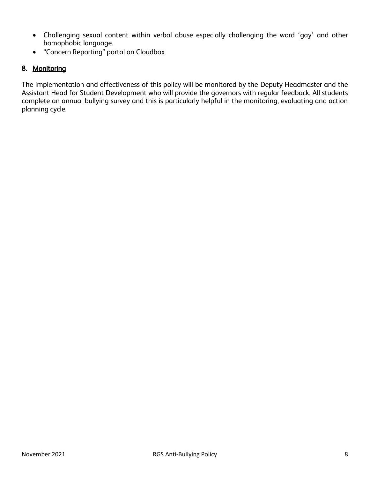- Challenging sexual content within verbal abuse especially challenging the word 'gay' and other homophobic language.
- "Concern Reporting" portal on Cloudbox

# 8. Monitoring

The implementation and effectiveness of this policy will be monitored by the Deputy Headmaster and the Assistant Head for Student Development who will provide the governors with regular feedback. All students complete an annual bullying survey and this is particularly helpful in the monitoring, evaluating and action planning cycle.